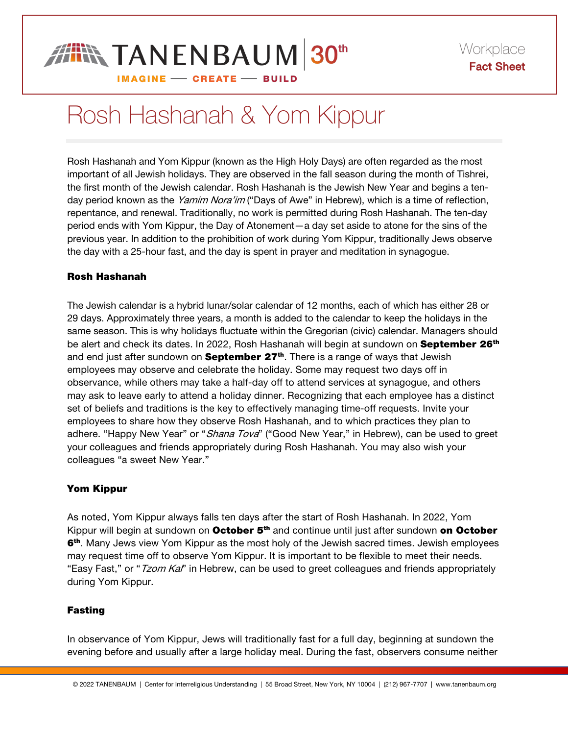### **FIN TANENBAUM 30th IMAGINE - CREATE - BUILD**

# Rosh Hashanah & Yom Kippur

Rosh Hashanah and Yom Kippur (known as the High Holy Days) are often regarded as the most important of all Jewish holidays. They are observed in the fall season during the month of Tishrei, the first month of the Jewish calendar. Rosh Hashanah is the Jewish New Year and begins a tenday period known as the Yamim Nora'im ("Days of Awe" in Hebrew), which is a time of reflection, repentance, and renewal. Traditionally, no work is permitted during Rosh Hashanah. The ten-day period ends with Yom Kippur, the Day of Atonement—a day set aside to atone for the sins of the previous year. In addition to the prohibition of work during Yom Kippur, traditionally Jews observe the day with a 25-hour fast, and the day is spent in prayer and meditation in synagogue.

### Rosh Hashanah

The Jewish calendar is a hybrid lunar/solar calendar of 12 months, each of which has either 28 or 29 days. Approximately three years, a month is added to the calendar to keep the holidays in the same season. This is why holidays fluctuate within the Gregorian (civic) calendar. Managers should be alert and check its dates. In 2022, Rosh Hashanah will begin at sundown on **September 26<sup>th</sup>** and end just after sundown on **September 27<sup>th</sup>**. There is a range of ways that Jewish employees may observe and celebrate the holiday. Some may request two days off in observance, while others may take a half-day off to attend services at synagogue, and others may ask to leave early to attend a holiday dinner. Recognizing that each employee has a distinct set of beliefs and traditions is the key to effectively managing time-off requests. Invite your employees to share how they observe Rosh Hashanah, and to which practices they plan to adhere. "Happy New Year" or "Shana Tova" ("Good New Year," in Hebrew), can be used to greet your colleagues and friends appropriately during Rosh Hashanah. You may also wish your colleagues "a sweet New Year."

### Yom Kippur

As noted, Yom Kippur always falls ten days after the start of Rosh Hashanah. In 2022, Yom Kippur will begin at sundown on October 5<sup>th</sup> and continue until just after sundown on October 6<sup>th</sup>. Many Jews view Yom Kippur as the most holy of the Jewish sacred times. Jewish employees may request time off to observe Yom Kippur. It is important to be flexible to meet their needs. "Easy Fast," or "Tzom Kal" in Hebrew, can be used to greet colleagues and friends appropriately during Yom Kippur.

### Fasting

In observance of Yom Kippur, Jews will traditionally fast for a full day, beginning at sundown the evening before and usually after a large holiday meal. During the fast, observers consume neither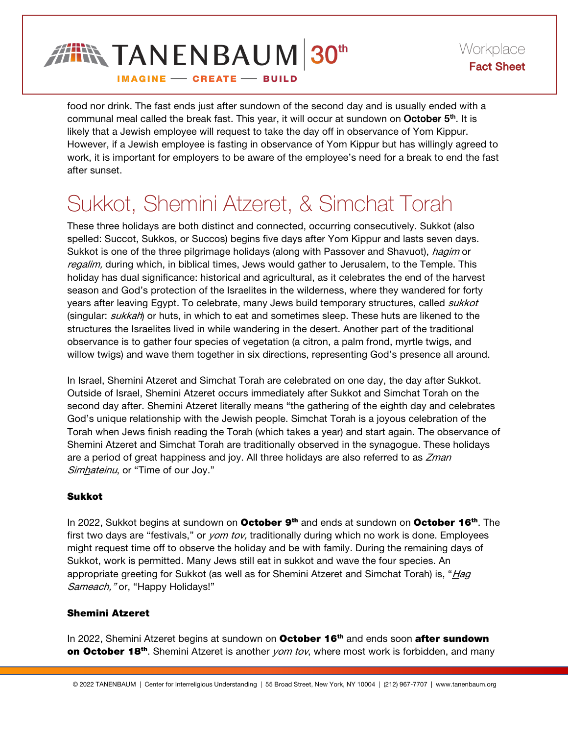

food nor drink. The fast ends just after sundown of the second day and is usually ended with a communal meal called the break fast. This year, it will occur at sundown on October 5<sup>th</sup>. It is likely that a Jewish employee will request to take the day off in observance of Yom Kippur. However, if a Jewish employee is fasting in observance of Yom Kippur but has willingly agreed to work, it is important for employers to be aware of the employee's need for a break to end the fast after sunset.

## Sukkot, Shemini Atzeret, & Simchat Torah

These three holidays are both distinct and connected, occurring consecutively. Sukkot (also spelled: Succot, Sukkos, or Succos) begins five days after Yom Kippur and lasts seven days. Sukkot is one of the three pilgrimage holidays (along with Passover and Shavuot), *hagim* or regalim, during which, in biblical times, Jews would gather to Jerusalem, to the Temple. This holiday has dual significance: historical and agricultural, as it celebrates the end of the harvest season and God's protection of the Israelites in the wilderness, where they wandered for forty years after leaving Egypt. To celebrate, many Jews build temporary structures, called sukkot (singular: sukkah) or huts, in which to eat and sometimes sleep. These huts are likened to the structures the Israelites lived in while wandering in the desert. Another part of the traditional observance is to gather four species of vegetation (a citron, a palm frond, myrtle twigs, and willow twigs) and wave them together in six directions, representing God's presence all around.

In Israel, Shemini Atzeret and Simchat Torah are celebrated on one day, the day after Sukkot. Outside of Israel, Shemini Atzeret occurs immediately after Sukkot and Simchat Torah on the second day after. Shemini Atzeret literally means "the gathering of the eighth day and celebrates God's unique relationship with the Jewish people. Simchat Torah is a joyous celebration of the Torah when Jews finish reading the Torah (which takes a year) and start again. The observance of Shemini Atzeret and Simchat Torah are traditionally observed in the synagogue. These holidays are a period of great happiness and joy. All three holidays are also referred to as *Zman* Simhateinu, or "Time of our Joy."

### Sukkot

In 2022, Sukkot begins at sundown on October 9<sup>th</sup> and ends at sundown on October 16<sup>th</sup>. The first two days are "festivals," or yom tov, traditionally during which no work is done. Employees might request time off to observe the holiday and be with family. During the remaining days of Sukkot, work is permitted. Many Jews still eat in sukkot and wave the four species. An appropriate greeting for Sukkot (as well as for Shemini Atzeret and Simchat Torah) is, "Hag Sameach," or, "Happy Holidays!"

### Shemini Atzeret

In 2022, Shemini Atzeret begins at sundown on October 16<sup>th</sup> and ends soon after sundown on October 18<sup>th</sup>. Shemini Atzeret is another *yom tov*, where most work is forbidden, and many